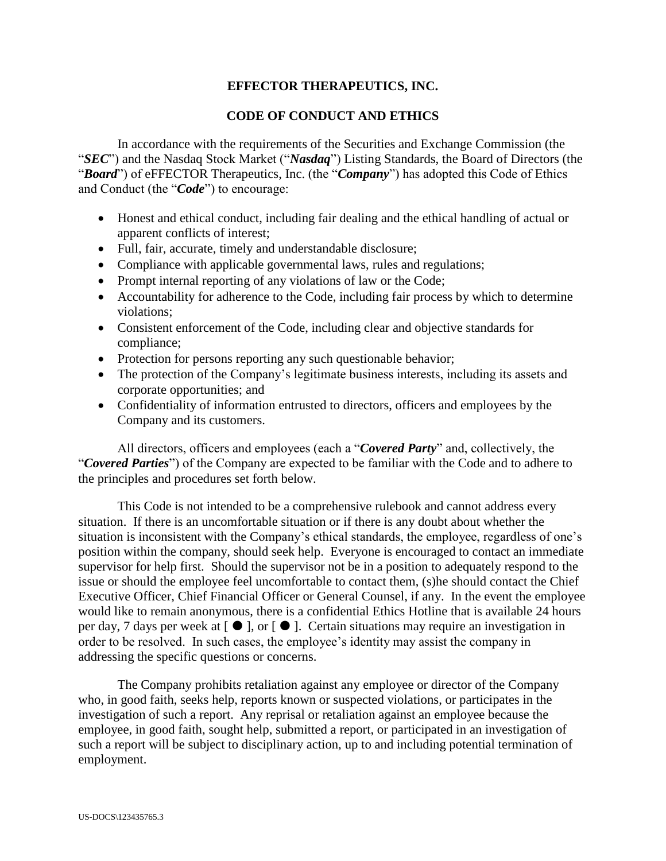# **EFFECTOR THERAPEUTICS, INC.**

# **CODE OF CONDUCT AND ETHICS**

In accordance with the requirements of the Securities and Exchange Commission (the "*SEC*") and the Nasdaq Stock Market ("*Nasdaq*") Listing Standards, the Board of Directors (the "*Board*") of eFFECTOR Therapeutics, Inc. (the "*Company*") has adopted this Code of Ethics and Conduct (the "*Code*") to encourage:

- Honest and ethical conduct, including fair dealing and the ethical handling of actual or apparent conflicts of interest;
- Full, fair, accurate, timely and understandable disclosure;
- Compliance with applicable governmental laws, rules and regulations;
- Prompt internal reporting of any violations of law or the Code;
- Accountability for adherence to the Code, including fair process by which to determine violations;
- Consistent enforcement of the Code, including clear and objective standards for compliance;
- Protection for persons reporting any such questionable behavior;
- The protection of the Company's legitimate business interests, including its assets and corporate opportunities; and
- Confidentiality of information entrusted to directors, officers and employees by the Company and its customers.

All directors, officers and employees (each a "*Covered Party*" and, collectively, the "*Covered Parties*") of the Company are expected to be familiar with the Code and to adhere to the principles and procedures set forth below.

This Code is not intended to be a comprehensive rulebook and cannot address every situation. If there is an uncomfortable situation or if there is any doubt about whether the situation is inconsistent with the Company's ethical standards, the employee, regardless of one's position within the company, should seek help. Everyone is encouraged to contact an immediate supervisor for help first. Should the supervisor not be in a position to adequately respond to the issue or should the employee feel uncomfortable to contact them, (s)he should contact the Chief Executive Officer, Chief Financial Officer or General Counsel, if any. In the event the employee would like to remain anonymous, there is a confidential Ethics Hotline that is available 24 hours per day, 7 days per week at  $[\bullet]$ , or  $[\bullet]$ . Certain situations may require an investigation in order to be resolved. In such cases, the employee's identity may assist the company in addressing the specific questions or concerns.

The Company prohibits retaliation against any employee or director of the Company who, in good faith, seeks help, reports known or suspected violations, or participates in the investigation of such a report. Any reprisal or retaliation against an employee because the employee, in good faith, sought help, submitted a report, or participated in an investigation of such a report will be subject to disciplinary action, up to and including potential termination of employment.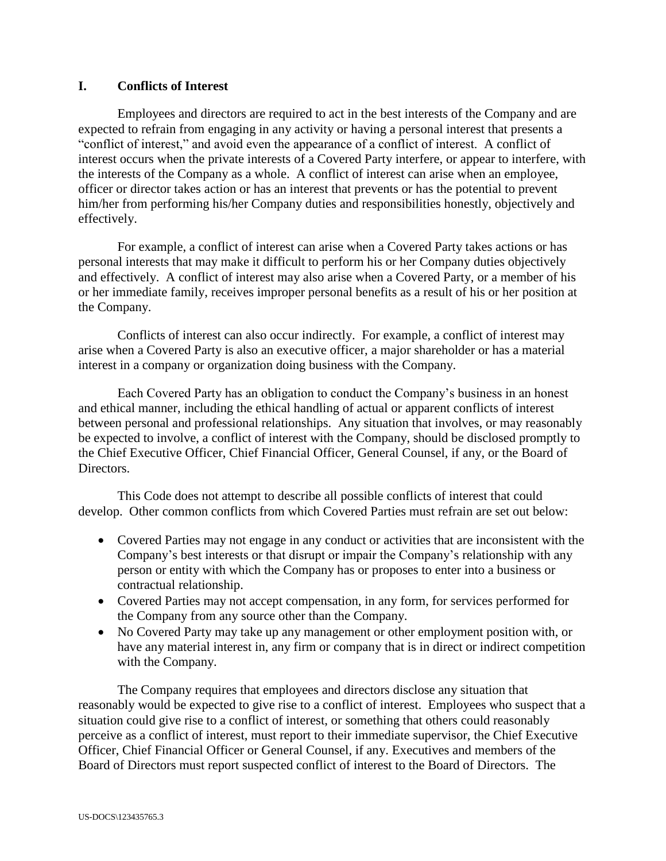# **I. Conflicts of Interest**

Employees and directors are required to act in the best interests of the Company and are expected to refrain from engaging in any activity or having a personal interest that presents a "conflict of interest," and avoid even the appearance of a conflict of interest. A conflict of interest occurs when the private interests of a Covered Party interfere, or appear to interfere, with the interests of the Company as a whole. A conflict of interest can arise when an employee, officer or director takes action or has an interest that prevents or has the potential to prevent him/her from performing his/her Company duties and responsibilities honestly, objectively and effectively.

For example, a conflict of interest can arise when a Covered Party takes actions or has personal interests that may make it difficult to perform his or her Company duties objectively and effectively. A conflict of interest may also arise when a Covered Party, or a member of his or her immediate family, receives improper personal benefits as a result of his or her position at the Company.

Conflicts of interest can also occur indirectly. For example, a conflict of interest may arise when a Covered Party is also an executive officer, a major shareholder or has a material interest in a company or organization doing business with the Company.

Each Covered Party has an obligation to conduct the Company's business in an honest and ethical manner, including the ethical handling of actual or apparent conflicts of interest between personal and professional relationships. Any situation that involves, or may reasonably be expected to involve, a conflict of interest with the Company, should be disclosed promptly to the Chief Executive Officer, Chief Financial Officer, General Counsel, if any, or the Board of Directors.

This Code does not attempt to describe all possible conflicts of interest that could develop. Other common conflicts from which Covered Parties must refrain are set out below:

- Covered Parties may not engage in any conduct or activities that are inconsistent with the Company's best interests or that disrupt or impair the Company's relationship with any person or entity with which the Company has or proposes to enter into a business or contractual relationship.
- Covered Parties may not accept compensation, in any form, for services performed for the Company from any source other than the Company.
- No Covered Party may take up any management or other employment position with, or have any material interest in, any firm or company that is in direct or indirect competition with the Company.

The Company requires that employees and directors disclose any situation that reasonably would be expected to give rise to a conflict of interest. Employees who suspect that a situation could give rise to a conflict of interest, or something that others could reasonably perceive as a conflict of interest, must report to their immediate supervisor, the Chief Executive Officer, Chief Financial Officer or General Counsel, if any. Executives and members of the Board of Directors must report suspected conflict of interest to the Board of Directors. The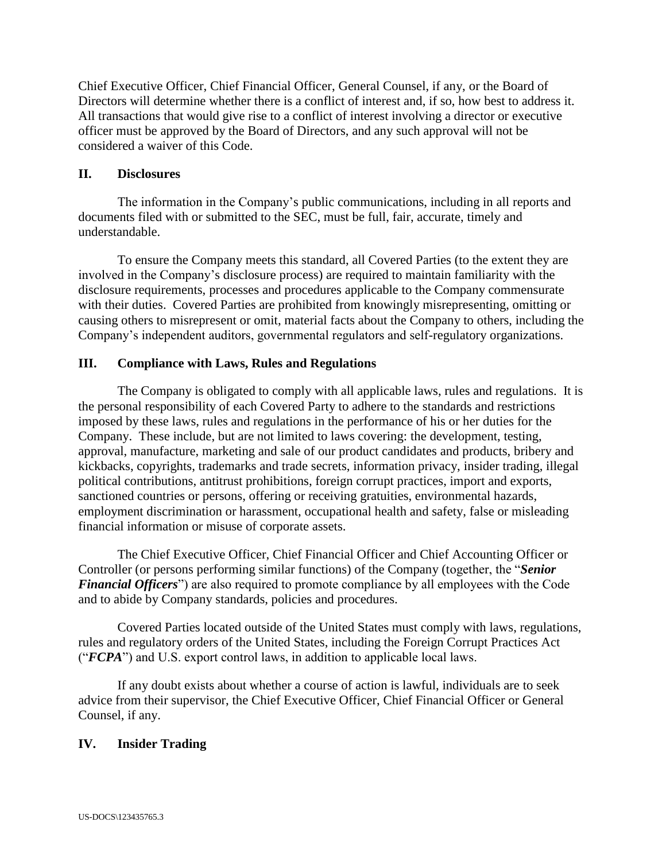Chief Executive Officer, Chief Financial Officer, General Counsel, if any, or the Board of Directors will determine whether there is a conflict of interest and, if so, how best to address it. All transactions that would give rise to a conflict of interest involving a director or executive officer must be approved by the Board of Directors, and any such approval will not be considered a waiver of this Code.

#### **II. Disclosures**

The information in the Company's public communications, including in all reports and documents filed with or submitted to the SEC, must be full, fair, accurate, timely and understandable.

To ensure the Company meets this standard, all Covered Parties (to the extent they are involved in the Company's disclosure process) are required to maintain familiarity with the disclosure requirements, processes and procedures applicable to the Company commensurate with their duties. Covered Parties are prohibited from knowingly misrepresenting, omitting or causing others to misrepresent or omit, material facts about the Company to others, including the Company's independent auditors, governmental regulators and self-regulatory organizations.

# **III. Compliance with Laws, Rules and Regulations**

The Company is obligated to comply with all applicable laws, rules and regulations. It is the personal responsibility of each Covered Party to adhere to the standards and restrictions imposed by these laws, rules and regulations in the performance of his or her duties for the Company. These include, but are not limited to laws covering: the development, testing, approval, manufacture, marketing and sale of our product candidates and products, bribery and kickbacks, copyrights, trademarks and trade secrets, information privacy, insider trading, illegal political contributions, antitrust prohibitions, foreign corrupt practices, import and exports, sanctioned countries or persons, offering or receiving gratuities, environmental hazards, employment discrimination or harassment, occupational health and safety, false or misleading financial information or misuse of corporate assets.

The Chief Executive Officer, Chief Financial Officer and Chief Accounting Officer or Controller (or persons performing similar functions) of the Company (together, the "*Senior Financial Officers*") are also required to promote compliance by all employees with the Code and to abide by Company standards, policies and procedures.

Covered Parties located outside of the United States must comply with laws, regulations, rules and regulatory orders of the United States, including the Foreign Corrupt Practices Act ("*FCPA*") and U.S. export control laws, in addition to applicable local laws.

If any doubt exists about whether a course of action is lawful, individuals are to seek advice from their supervisor, the Chief Executive Officer, Chief Financial Officer or General Counsel, if any.

# **IV. Insider Trading**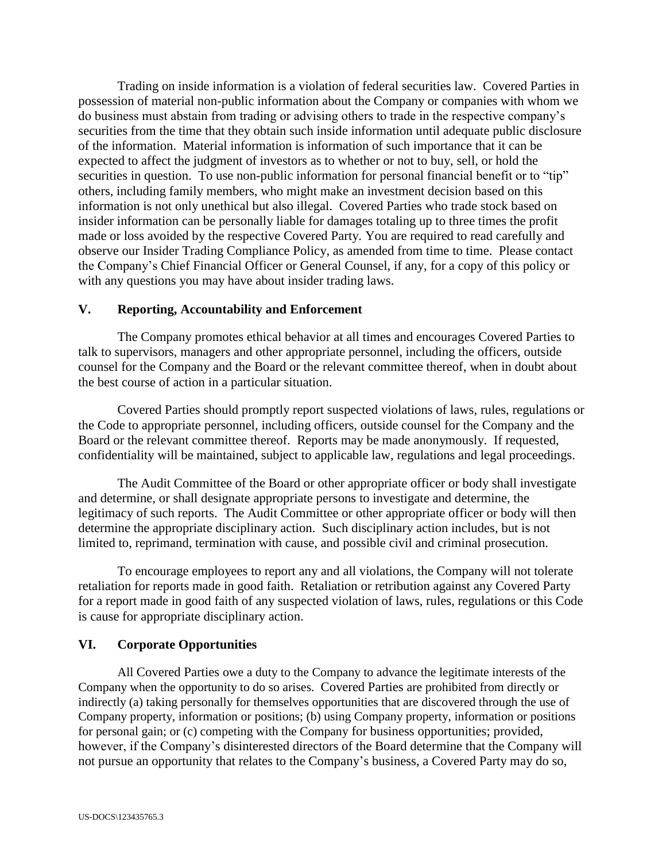Trading on inside information is a violation of federal securities law. Covered Parties in possession of material non-public information about the Company or companies with whom we do business must abstain from trading or advising others to trade in the respective company's securities from the time that they obtain such inside information until adequate public disclosure of the information. Material information is information of such importance that it can be expected to affect the judgment of investors as to whether or not to buy, sell, or hold the securities in question. To use non-public information for personal financial benefit or to "tip" others, including family members, who might make an investment decision based on this information is not only unethical but also illegal. Covered Parties who trade stock based on insider information can be personally liable for damages totaling up to three times the profit made or loss avoided by the respective Covered Party. You are required to read carefully and observe our Insider Trading Compliance Policy, as amended from time to time. Please contact the Company's Chief Financial Officer or General Counsel, if any, for a copy of this policy or with any questions you may have about insider trading laws.

#### **V. Reporting, Accountability and Enforcement**

The Company promotes ethical behavior at all times and encourages Covered Parties to talk to supervisors, managers and other appropriate personnel, including the officers, outside counsel for the Company and the Board or the relevant committee thereof, when in doubt about the best course of action in a particular situation.

Covered Parties should promptly report suspected violations of laws, rules, regulations or the Code to appropriate personnel, including officers, outside counsel for the Company and the Board or the relevant committee thereof. Reports may be made anonymously. If requested, confidentiality will be maintained, subject to applicable law, regulations and legal proceedings.

The Audit Committee of the Board or other appropriate officer or body shall investigate and determine, or shall designate appropriate persons to investigate and determine, the legitimacy of such reports. The Audit Committee or other appropriate officer or body will then determine the appropriate disciplinary action. Such disciplinary action includes, but is not limited to, reprimand, termination with cause, and possible civil and criminal prosecution.

To encourage employees to report any and all violations, the Company will not tolerate retaliation for reports made in good faith. Retaliation or retribution against any Covered Party for a report made in good faith of any suspected violation of laws, rules, regulations or this Code is cause for appropriate disciplinary action.

# **VI. Corporate Opportunities**

All Covered Parties owe a duty to the Company to advance the legitimate interests of the Company when the opportunity to do so arises. Covered Parties are prohibited from directly or indirectly (a) taking personally for themselves opportunities that are discovered through the use of Company property, information or positions; (b) using Company property, information or positions for personal gain; or (c) competing with the Company for business opportunities; provided, however, if the Company's disinterested directors of the Board determine that the Company will not pursue an opportunity that relates to the Company's business, a Covered Party may do so,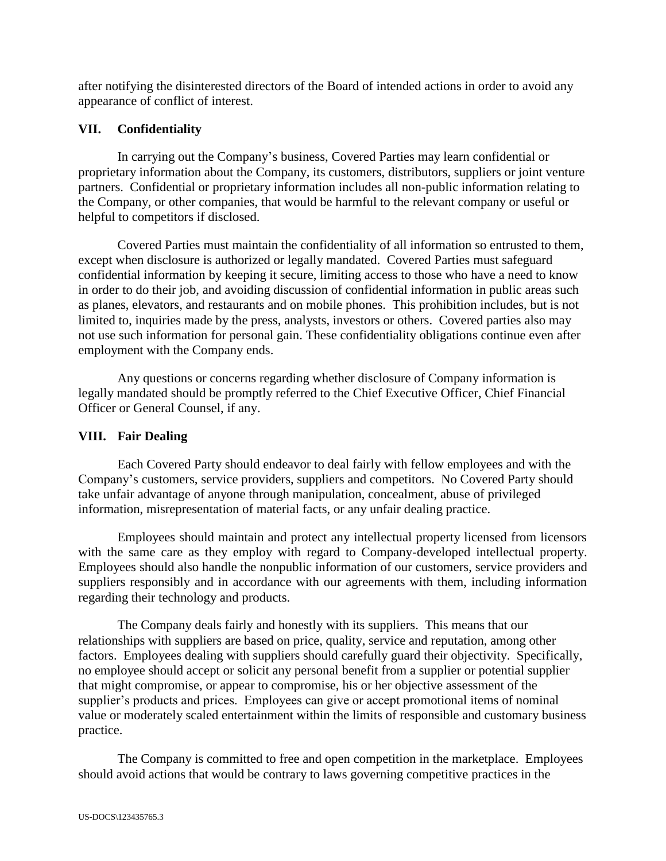after notifying the disinterested directors of the Board of intended actions in order to avoid any appearance of conflict of interest.

# **VII. Confidentiality**

In carrying out the Company's business, Covered Parties may learn confidential or proprietary information about the Company, its customers, distributors, suppliers or joint venture partners. Confidential or proprietary information includes all non-public information relating to the Company, or other companies, that would be harmful to the relevant company or useful or helpful to competitors if disclosed.

Covered Parties must maintain the confidentiality of all information so entrusted to them, except when disclosure is authorized or legally mandated. Covered Parties must safeguard confidential information by keeping it secure, limiting access to those who have a need to know in order to do their job, and avoiding discussion of confidential information in public areas such as planes, elevators, and restaurants and on mobile phones. This prohibition includes, but is not limited to, inquiries made by the press, analysts, investors or others. Covered parties also may not use such information for personal gain. These confidentiality obligations continue even after employment with the Company ends.

Any questions or concerns regarding whether disclosure of Company information is legally mandated should be promptly referred to the Chief Executive Officer, Chief Financial Officer or General Counsel, if any.

# **VIII. Fair Dealing**

Each Covered Party should endeavor to deal fairly with fellow employees and with the Company's customers, service providers, suppliers and competitors. No Covered Party should take unfair advantage of anyone through manipulation, concealment, abuse of privileged information, misrepresentation of material facts, or any unfair dealing practice.

Employees should maintain and protect any intellectual property licensed from licensors with the same care as they employ with regard to Company-developed intellectual property. Employees should also handle the nonpublic information of our customers, service providers and suppliers responsibly and in accordance with our agreements with them, including information regarding their technology and products.

The Company deals fairly and honestly with its suppliers. This means that our relationships with suppliers are based on price, quality, service and reputation, among other factors. Employees dealing with suppliers should carefully guard their objectivity. Specifically, no employee should accept or solicit any personal benefit from a supplier or potential supplier that might compromise, or appear to compromise, his or her objective assessment of the supplier's products and prices. Employees can give or accept promotional items of nominal value or moderately scaled entertainment within the limits of responsible and customary business practice.

The Company is committed to free and open competition in the marketplace. Employees should avoid actions that would be contrary to laws governing competitive practices in the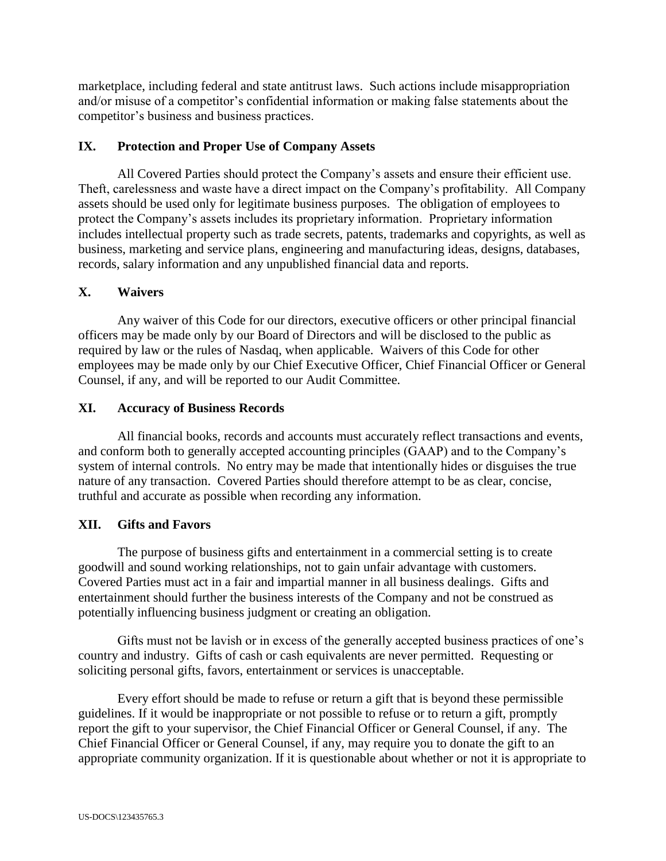marketplace, including federal and state antitrust laws. Such actions include misappropriation and/or misuse of a competitor's confidential information or making false statements about the competitor's business and business practices.

#### **IX. Protection and Proper Use of Company Assets**

All Covered Parties should protect the Company's assets and ensure their efficient use. Theft, carelessness and waste have a direct impact on the Company's profitability. All Company assets should be used only for legitimate business purposes. The obligation of employees to protect the Company's assets includes its proprietary information. Proprietary information includes intellectual property such as trade secrets, patents, trademarks and copyrights, as well as business, marketing and service plans, engineering and manufacturing ideas, designs, databases, records, salary information and any unpublished financial data and reports.

#### **X. Waivers**

Any waiver of this Code for our directors, executive officers or other principal financial officers may be made only by our Board of Directors and will be disclosed to the public as required by law or the rules of Nasdaq, when applicable. Waivers of this Code for other employees may be made only by our Chief Executive Officer, Chief Financial Officer or General Counsel, if any, and will be reported to our Audit Committee.

#### **XI. Accuracy of Business Records**

All financial books, records and accounts must accurately reflect transactions and events, and conform both to generally accepted accounting principles (GAAP) and to the Company's system of internal controls. No entry may be made that intentionally hides or disguises the true nature of any transaction. Covered Parties should therefore attempt to be as clear, concise, truthful and accurate as possible when recording any information.

# **XII. Gifts and Favors**

The purpose of business gifts and entertainment in a commercial setting is to create goodwill and sound working relationships, not to gain unfair advantage with customers. Covered Parties must act in a fair and impartial manner in all business dealings. Gifts and entertainment should further the business interests of the Company and not be construed as potentially influencing business judgment or creating an obligation.

Gifts must not be lavish or in excess of the generally accepted business practices of one's country and industry. Gifts of cash or cash equivalents are never permitted. Requesting or soliciting personal gifts, favors, entertainment or services is unacceptable.

Every effort should be made to refuse or return a gift that is beyond these permissible guidelines. If it would be inappropriate or not possible to refuse or to return a gift, promptly report the gift to your supervisor, the Chief Financial Officer or General Counsel, if any. The Chief Financial Officer or General Counsel, if any, may require you to donate the gift to an appropriate community organization. If it is questionable about whether or not it is appropriate to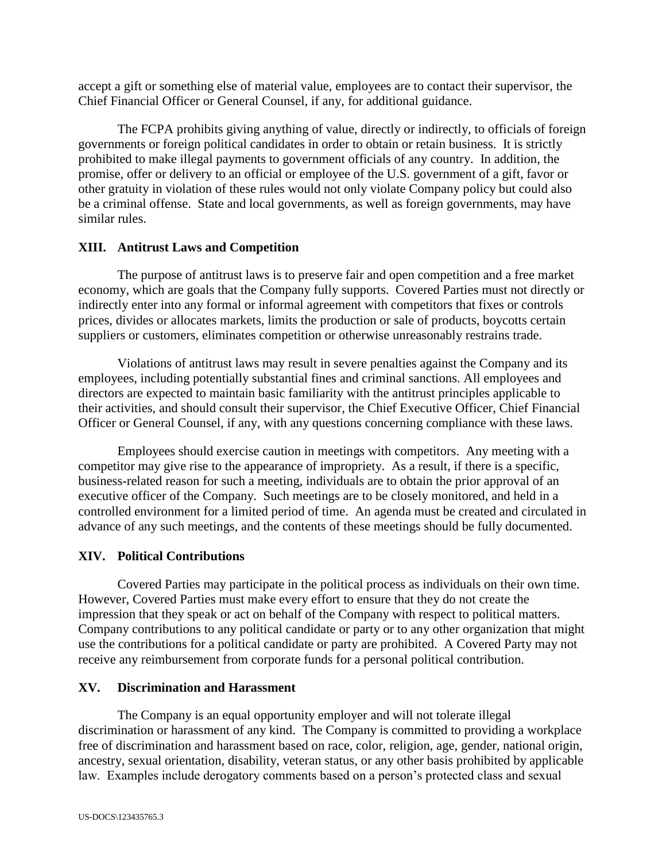accept a gift or something else of material value, employees are to contact their supervisor, the Chief Financial Officer or General Counsel, if any, for additional guidance.

The FCPA prohibits giving anything of value, directly or indirectly, to officials of foreign governments or foreign political candidates in order to obtain or retain business. It is strictly prohibited to make illegal payments to government officials of any country. In addition, the promise, offer or delivery to an official or employee of the U.S. government of a gift, favor or other gratuity in violation of these rules would not only violate Company policy but could also be a criminal offense. State and local governments, as well as foreign governments, may have similar rules.

# **XIII. Antitrust Laws and Competition**

The purpose of antitrust laws is to preserve fair and open competition and a free market economy, which are goals that the Company fully supports. Covered Parties must not directly or indirectly enter into any formal or informal agreement with competitors that fixes or controls prices, divides or allocates markets, limits the production or sale of products, boycotts certain suppliers or customers, eliminates competition or otherwise unreasonably restrains trade.

Violations of antitrust laws may result in severe penalties against the Company and its employees, including potentially substantial fines and criminal sanctions. All employees and directors are expected to maintain basic familiarity with the antitrust principles applicable to their activities, and should consult their supervisor, the Chief Executive Officer, Chief Financial Officer or General Counsel, if any, with any questions concerning compliance with these laws.

Employees should exercise caution in meetings with competitors. Any meeting with a competitor may give rise to the appearance of impropriety. As a result, if there is a specific, business-related reason for such a meeting, individuals are to obtain the prior approval of an executive officer of the Company. Such meetings are to be closely monitored, and held in a controlled environment for a limited period of time. An agenda must be created and circulated in advance of any such meetings, and the contents of these meetings should be fully documented.

# **XIV. Political Contributions**

Covered Parties may participate in the political process as individuals on their own time. However, Covered Parties must make every effort to ensure that they do not create the impression that they speak or act on behalf of the Company with respect to political matters. Company contributions to any political candidate or party or to any other organization that might use the contributions for a political candidate or party are prohibited. A Covered Party may not receive any reimbursement from corporate funds for a personal political contribution.

# **XV. Discrimination and Harassment**

The Company is an equal opportunity employer and will not tolerate illegal discrimination or harassment of any kind. The Company is committed to providing a workplace free of discrimination and harassment based on race, color, religion, age, gender, national origin, ancestry, sexual orientation, disability, veteran status, or any other basis prohibited by applicable law. Examples include derogatory comments based on a person's protected class and sexual